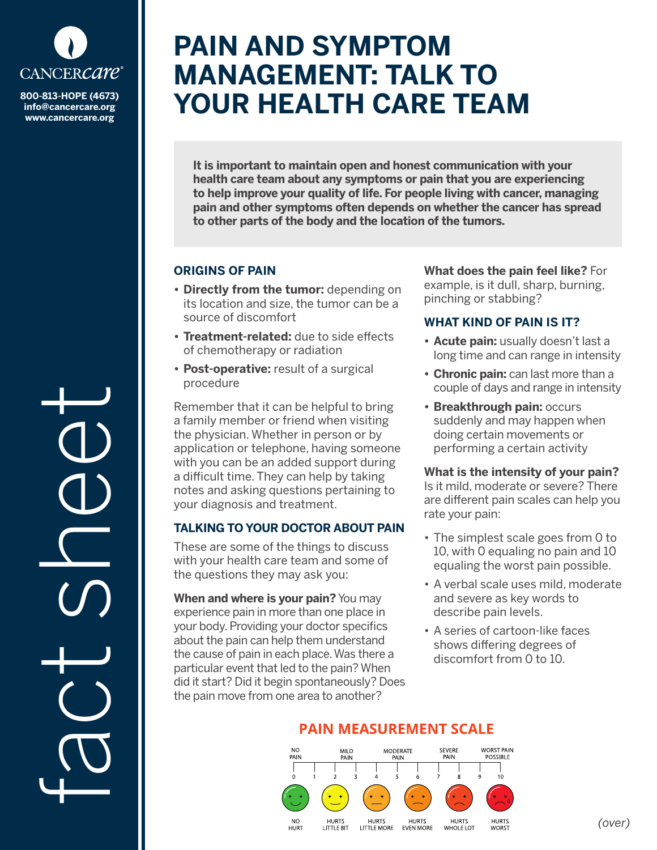

**info@cancercare.org www.cancercare.org**

fact se

# **PAIN AND SYMPTOM MANAGEMENT: TALK TO 800-813-HOPE (4673)** YOUR HEALTH CARE TEAM

**It is important to maintain open and honest communication with your health care team about any symptoms or pain that you are experiencing to help improve your quality of life. For people living with cancer, managing pain and other symptoms often depends on whether the cancer has spread to other parts of the body and the location of the tumors.** 

### **ORIGINS OF PAIN**

- **• Directly from the tumor:** depending on its location and size, the tumor can be a source of discomfort
- **• Treatment-related:** due to side effects of chemotherapy or radiation
- **• Post-operative:** result of a surgical procedure

Remember that it can be helpful to bring a family member or friend when visiting the physician. Whether in person or by application or telephone, having someone with you can be an added support during a difficult time. They can help by taking notes and asking questions pertaining to your diagnosis and treatment.

### **TALKING TO YOUR DOCTOR ABOUT PAIN**

These are some of the things to discuss with your health care team and some of the questions they may ask you:

**When and where is your pain?** You may experience pain in more than one place in your body. Providing your doctor specifics about the pain can help them understand the cause of pain in each place. Was there a particular event that led to the pain? When did it start? Did it begin spontaneously? Does the pain move from one area to another?

**What does the pain feel like?** For example, is it dull, sharp, burning, pinching or stabbing?

## **WHAT KIND OF PAIN IS IT?**

- **• Acute pain:** usually doesn't last a long time and can range in intensity
- **• Chronic pain:** can last more than a couple of days and range in intensity
- **• Breakthrough pain:** occurs suddenly and may happen when doing certain movements or performing a certain activity

### **What is the intensity of your pain?**

Is it mild, moderate or severe? There are different pain scales can help you rate your pain:

- The simplest scale goes from 0 to 10, with 0 equaling no pain and 10 equaling the worst pain possible.
- A verbal scale uses mild, moderate and severe as key words to describe pain levels.
- A series of cartoon-like faces shows differing degrees of discomfort from 0 to 10.



# **PAIN MEASUREMENT SCALE**